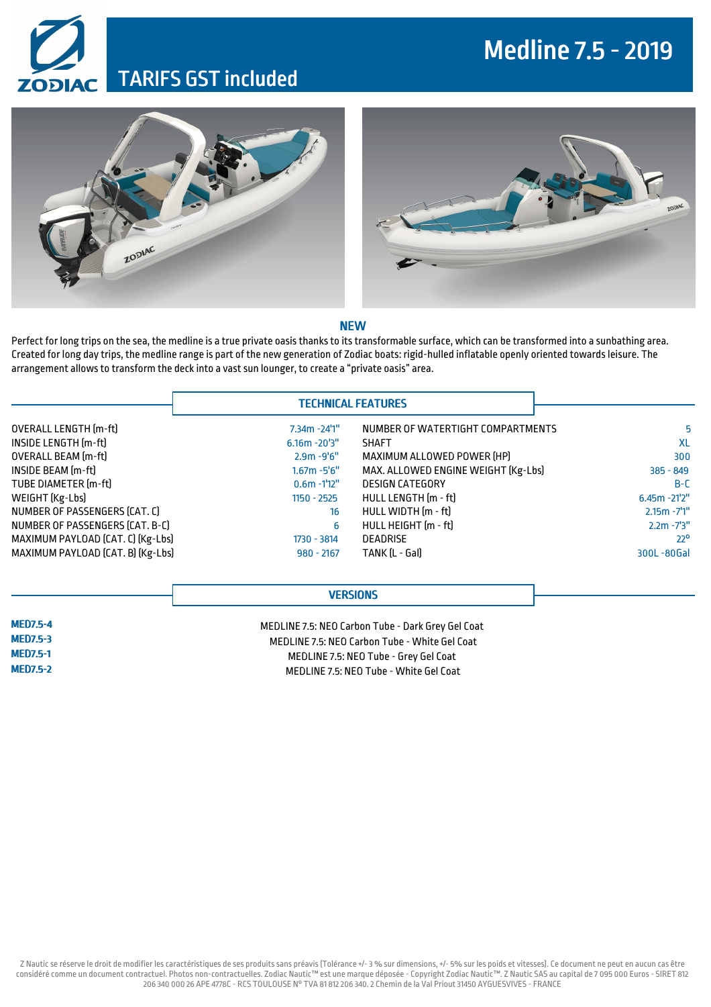## Medline 7.5 -2019

### TARIFS GST included





#### **NEW**

Perfect for long trips on the sea, the medline is a true private oasis thanks to its transformable surface, which can be transformed into a sunbathing area. Created for long day trips, the medline range is part of the new generation of Zodiac boats: rigid-hulled inflatable openly oriented towardsleisure. The arrangement allows to transform the deck into a vast sun lounger, to create a "private oasis" area.

|  |  | <b>TECHNICAL FEATURES</b> |
|--|--|---------------------------|
|  |  |                           |

|                  | NUMBER OF WATERTIGHT COMPARTMENTS   | $7.34m - 24'1''$ | OVERALL LENGTH [m-ft]             |  |
|------------------|-------------------------------------|------------------|-----------------------------------|--|
|                  | <b>SHAFT</b>                        | $6.16m - 20'3''$ | INSIDE LENGTH [m-ft]              |  |
|                  | MAXIMUM ALLOWED POWER [HP]          | $2.9m - 9'6''$   | <b>OVERALL BEAM</b> [m-ft]        |  |
| $385 - 849$      | MAX. ALLOWED ENGINE WEIGHT [Kg-Lbs] | $1.67m - 5'6''$  | INSIDE BEAM (m-ft)                |  |
|                  | <b>DESIGN CATEGORY</b>              | $0.6m - 1'12''$  | TUBE DIAMETER [m-ft]              |  |
| $6.45m - 21'2''$ | HULL LENGTH [m - ft]                | $1150 - 2525$    | WEIGHT (Kg-Lbs)                   |  |
| $2.15m - 7'1''$  | HULL WIDTH [m - ft]                 | 16               | NUMBER OF PASSENGERS (CAT. C)     |  |
| $2.2m - 7'3''$   | HULL HEIGHT (m - ft)                | 6                | NUMBER OF PASSENGERS (CAT. B-C)   |  |
|                  | <b>DEADRISE</b>                     | 1730 - 3814      | MAXIMUM PAYLOAD (CAT. C) (Kg-Lbs) |  |
| 300L-80Gal       | TANK (L - Gal)                      | $980 - 2167$     | MAXIMUM PAYLOAD [CAT. B] [Kg-Lbs] |  |

### **VERSIONS**

MED7.5-4 MED7.5-3 MED7.5-1 MED7.5-2

MEDLINE 7.5: NEO Carbon Tube - Dark Grey Gel Coat MEDLINE 7.5: NEO Carbon Tube - White Gel Coat MEDLINE 7.5: NEO Tube - Grey Gel Coat MEDLINE 7.5: NEO Tube - White Gel Coat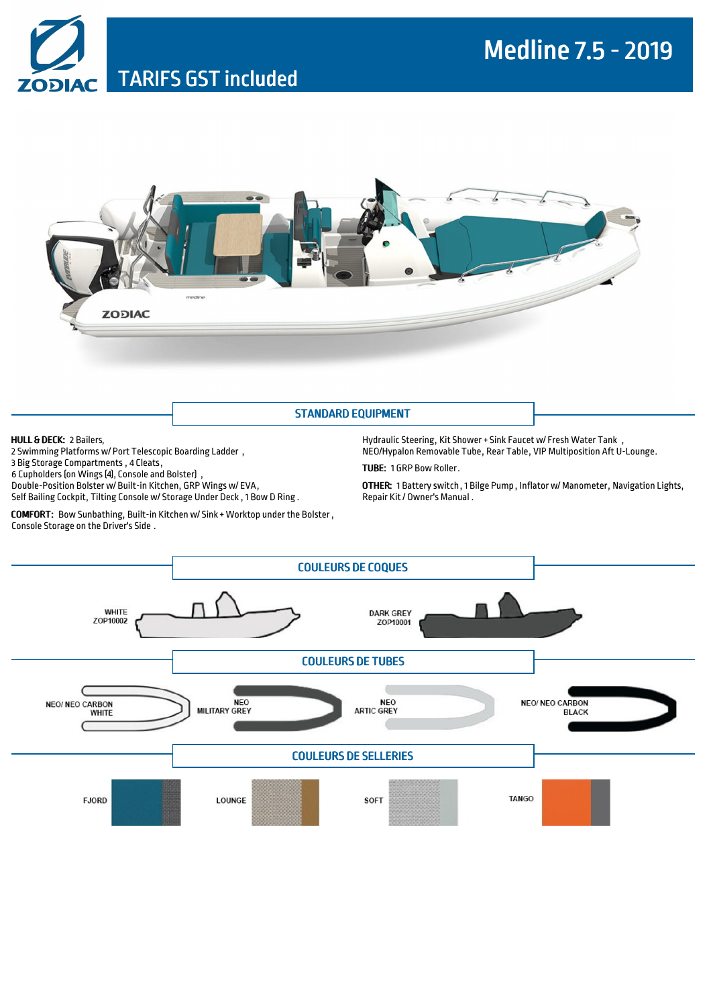



#### STANDARD EQUIPMENT

#### HULL & DECK: 2 Bailers,

2 Swimming Platforms w/ Port Telescopic Boarding Ladder , 3 Big Storage Compartments , 4 Cleats, 6 Cupholders (on Wings (4), Console and Bolster) Double-Position Bolster w/ Built-in Kitchen, GRP Wings w/ EVA, Self Bailing Cockpit, Tilting Console w/ Storage Under Deck , 1 Bow D Ring .

COMFORT: Bow Sunbathing, Built-in Kitchen w/ Sink + Worktop under the Bolster , Console Storage on the Driver's Side .

Hydraulic Steering, Kit Shower+ Sink Faucet w/ Fresh Water Tank , NEO/Hypalon Removable Tube, Rear Table, VIP Multiposition Aft U-Lounge.

TUBE: 1 GRP Bow Roller.

OTHER: 1 Battery switch, 1 Bilge Pump , Inflator w/ Manometer, Navigation Lights, Repair Kit / Owner's Manual .